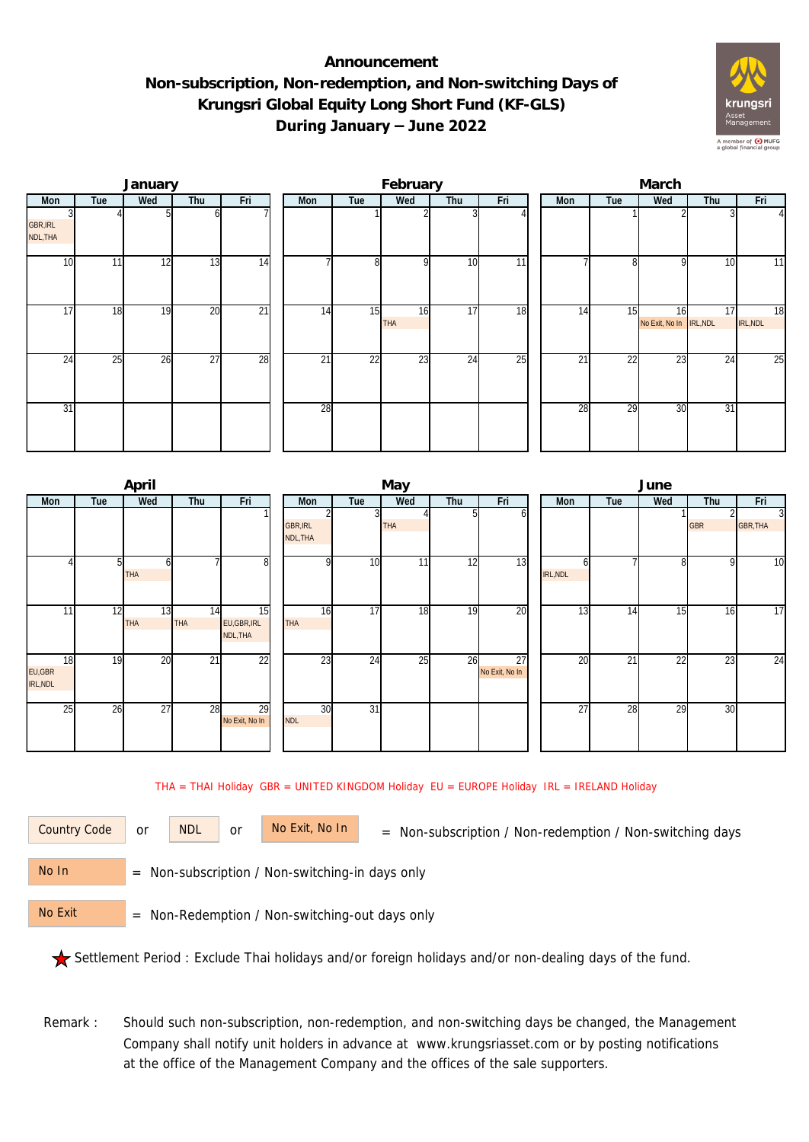## **Announcement Non-subscription, Non-redemption, and Non-switching Days of Krungsri Global Equity Long Short Fund (KF-GLS) During January – June 2022**



|                             |     | January |                 |                 |     |     | February         |     |     | March |                 |                               |     |                |  |  |
|-----------------------------|-----|---------|-----------------|-----------------|-----|-----|------------------|-----|-----|-------|-----------------|-------------------------------|-----|----------------|--|--|
| Mon                         | Tue | Wed     | Thu             | Fri             | Mon | Tue | Wed              | Thu | Fri | Mon   | Tue             | Wed                           | Thu | Fri            |  |  |
| <b>GBR, IRL</b><br>NDL, THA |     |         | b               |                 |     |     |                  |     |     |       |                 |                               |     | $\overline{4}$ |  |  |
| 10                          | 11  | 12      | 13              | $\overline{14}$ |     | 8   | $\Omega$         | 10  | 11  |       | g               | Q                             | 10  | 11             |  |  |
| 17                          | 18  | 19      | 20              | $\overline{21}$ | 14  | 15  | 16<br><b>THA</b> | 17  | 18  | 14    | 15              | 16<br>No Exit, No In IRL, NDL | 17  | 18<br>IRL, NDL |  |  |
| 24                          | 25  | 26      | $\overline{27}$ | 28              | 21  | 22  | 23               | 24  | 25  | 21    | $\overline{22}$ | 23                            | 24  | 25             |  |  |
| 31                          |     |         |                 |                 | 28  |     |                  |     |     | 28    | 29              | 30                            | 31  |                |  |  |

|                 |     | April      |            |                 |                 |     | May        |     |                | June     |     |                   |            |                |  |  |
|-----------------|-----|------------|------------|-----------------|-----------------|-----|------------|-----|----------------|----------|-----|-------------------|------------|----------------|--|--|
| Mon             | Tue | Wed        | Thu        | Fri             | Mon             | Tue | Wed        | Thu | Fri            | Mon      | Tue | Wed               | Thu        | Fri            |  |  |
|                 |     |            |            |                 |                 | 3   |            |     | b              |          |     |                   |            | $\overline{3}$ |  |  |
|                 |     |            |            |                 | <b>GBR, IRL</b> |     | <b>THA</b> |     |                |          |     |                   | <b>GBR</b> | GBR, THA       |  |  |
|                 |     |            |            |                 | NDL, THA        |     |            |     |                |          |     |                   |            |                |  |  |
|                 |     | 61         |            | 8               | C               | 10  | 11         | 12  | 13             |          |     | $\lvert 8 \rvert$ | 9          | 10             |  |  |
|                 |     | <b>THA</b> |            |                 |                 |     |            |     |                | IRL, NDL |     |                   |            |                |  |  |
|                 |     |            |            |                 |                 |     |            |     |                |          |     |                   |            |                |  |  |
| 11 <sub>1</sub> | 12  | 13         | 14         | $\overline{15}$ | 16              | 17  | 18         | 19  | 20             | 13       | 14  | 15                | 16         | 17             |  |  |
|                 |     | <b>THA</b> | <b>THA</b> | EU, GBR, IRL    | <b>THA</b>      |     |            |     |                |          |     |                   |            |                |  |  |
|                 |     |            |            | NDL, THA        |                 |     |            |     |                |          |     |                   |            |                |  |  |
| 18              | 19  | 20         | 21         | 22              | 23              | 24  | 25         | 26  | 27             | 20       | 21  | 22                | 23         | 24             |  |  |
| EU,GBR          |     |            |            |                 |                 |     |            |     | No Exit, No In |          |     |                   |            |                |  |  |
| IRL, NDL        |     |            |            |                 |                 |     |            |     |                |          |     |                   |            |                |  |  |
|                 |     |            |            |                 |                 |     |            |     |                |          |     |                   |            |                |  |  |
| 25              | 26  | 27         | 28         | 29              | 30              | 31  |            |     |                | 27       | 28  | 29                | 30         |                |  |  |
|                 |     |            |            | No Exit, No In  | <b>NDL</b>      |     |            |     |                |          |     |                   |            |                |  |  |
|                 |     |            |            |                 |                 |     |            |     |                |          |     |                   |            |                |  |  |

THA = THAI Holiday GBR = UNITED KINGDOM Holiday EU = EUROPE Holiday IRL = IRELAND Holiday

or NDL or

Country Code or NDL or No Exit, No In = Non-subscription / Non-redemption / Non-switching days

 = Non-subscription / Non-switching-in days only No In

 = Non-Redemption / Non-switching-out days only No Exit

Settlement Period : Exclude Thai holidays and/or foreign holidays and/or non-dealing days of the fund.

Remark : Should such non-subscription, non-redemption, and non-switching days be changed, the Management Company shall notify unit holders in advance at www.krungsriasset.com or by posting notifications at the office of the Management Company and the offices of the sale supporters.